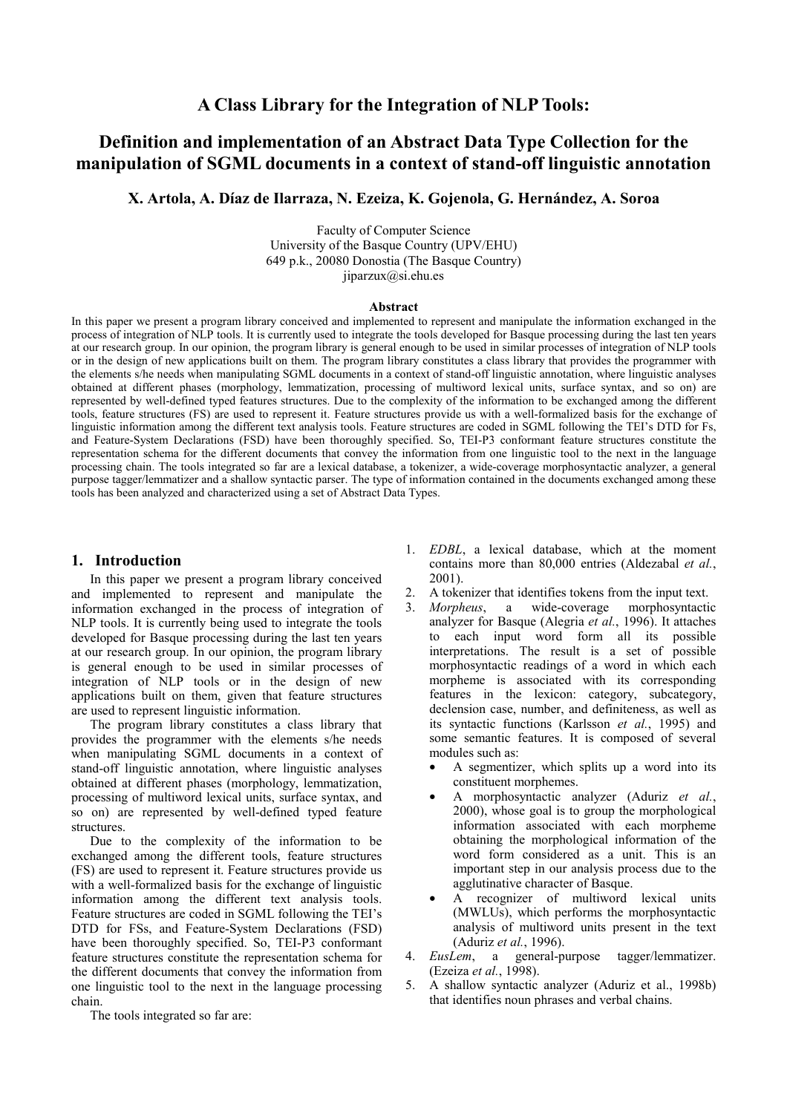## **A Class Library for the Integration of NLP Tools:**

# **Definition and implementation of an Abstract Data Type Collection for the manipulation of SGML documents in a context of stand-off linguistic annotation**

**X. Artola, A. Díaz de Ilarraza, N. Ezeiza, K. Gojenola, G. Hernández, A. Soroa** 

Faculty of Computer Science University of the Basque Country (UPV/EHU) 649 p.k., 20080 Donostia (The Basque Country) jiparzux@si.ehu.es

#### **Abstract**

In this paper we present a program library conceived and implemented to represent and manipulate the information exchanged in the process of integration of NLP tools. It is currently used to integrate the tools developed for Basque processing during the last ten years at our research group. In our opinion, the program library is general enough to be used in similar processes of integration of NLP tools or in the design of new applications built on them. The program library constitutes a class library that provides the programmer with the elements s/he needs when manipulating SGML documents in a context of stand-off linguistic annotation, where linguistic analyses obtained at different phases (morphology, lemmatization, processing of multiword lexical units, surface syntax, and so on) are represented by well-defined typed features structures. Due to the complexity of the information to be exchanged among the different tools, feature structures (FS) are used to represent it. Feature structures provide us with a well-formalized basis for the exchange of linguistic information among the different text analysis tools. Feature structures are coded in SGML following the TEI's DTD for Fs, and Feature-System Declarations (FSD) have been thoroughly specified. So, TEI-P3 conformant feature structures constitute the representation schema for the different documents that convey the information from one linguistic tool to the next in the language processing chain. The tools integrated so far are a lexical database, a tokenizer, a wide-coverage morphosyntactic analyzer, a general purpose tagger/lemmatizer and a shallow syntactic parser. The type of information contained in the documents exchanged among these tools has been analyzed and characterized using a set of Abstract Data Types.

### **1. Introduction**

In this paper we present a program library conceived and implemented to represent and manipulate the information exchanged in the process of integration of NLP tools. It is currently being used to integrate the tools developed for Basque processing during the last ten years at our research group. In our opinion, the program library is general enough to be used in similar processes of integration of NLP tools or in the design of new applications built on them, given that feature structures are used to represent linguistic information.

The program library constitutes a class library that provides the programmer with the elements s/he needs when manipulating SGML documents in a context of stand-off linguistic annotation, where linguistic analyses obtained at different phases (morphology, lemmatization, processing of multiword lexical units, surface syntax, and so on) are represented by well-defined typed feature **structures** 

Due to the complexity of the information to be exchanged among the different tools, feature structures (FS) are used to represent it. Feature structures provide us with a well-formalized basis for the exchange of linguistic information among the different text analysis tools. Feature structures are coded in SGML following the TEI's DTD for FSs, and Feature-System Declarations (FSD) have been thoroughly specified. So, TEI-P3 conformant feature structures constitute the representation schema for the different documents that convey the information from one linguistic tool to the next in the language processing chain.

The tools integrated so far are:

- 1. *EDBL*, a lexical database, which at the moment contains more than 80,000 entries (Aldezabal *et al.*, 2001).
- 2. A tokenizer that identifies tokens from the input text.
- 3. *Morpheus*, a wide-coverage morphosyntactic analyzer for Basque (Alegria *et al.*, 1996). It attaches to each input word form all its possible interpretations. The result is a set of possible morphosyntactic readings of a word in which each morpheme is associated with its corresponding features in the lexicon: category, subcategory, declension case, number, and definiteness, as well as its syntactic functions (Karlsson *et al.*, 1995) and some semantic features. It is composed of several modules such as:
	- A segmentizer, which splits up a word into its constituent morphemes.
	- A morphosyntactic analyzer (Aduriz *et al.*, 2000), whose goal is to group the morphological information associated with each morpheme obtaining the morphological information of the word form considered as a unit. This is an important step in our analysis process due to the agglutinative character of Basque.
	- A recognizer of multiword lexical units (MWLUs), which performs the morphosyntactic analysis of multiword units present in the text (Aduriz *et al.*, 1996).
- 4. *EusLem*, a general-purpose tagger/lemmatizer. (Ezeiza *et al.*, 1998).
- 5. A shallow syntactic analyzer (Aduriz et al., 1998b) that identifies noun phrases and verbal chains.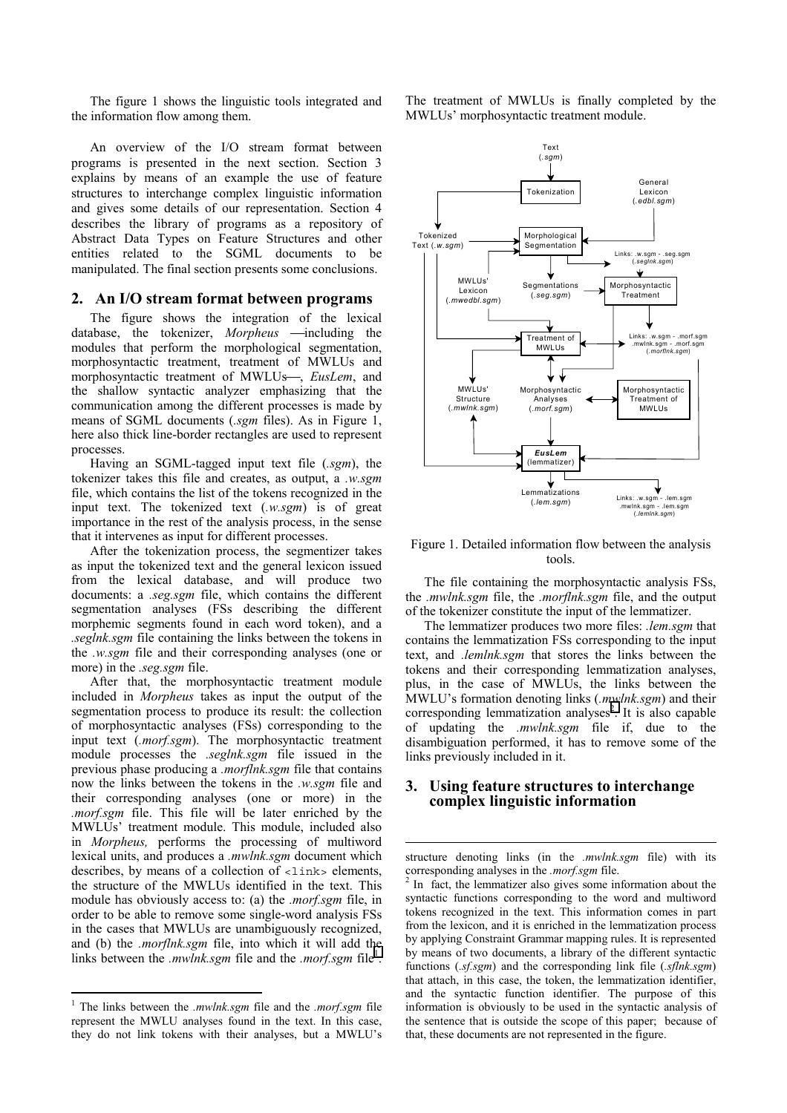The figure 1 shows the linguistic tools integrated and the information flow among them.

An overview of the I/O stream format between programs is presented in the next section. Section 3 explains by means of an example the use of feature structures to interchange complex linguistic information and gives some details of our representation. Section 4 describes the library of programs as a repository of Abstract Data Types on Feature Structures and other entities related to the SGML documents to be manipulated. The final section presents some conclusions.

### **2. An I/O stream format between programs**

The figure shows the integration of the lexical database, the tokenizer, *Morpheus* -including the modules that perform the morphological segmentation, morphosyntactic treatment, treatment of MWLUs and morphosyntactic treatment of MWLUs-, *EusLem*, and the shallow syntactic analyzer emphasizing that the communication among the different processes is made by means of SGML documents (*.sgm* files). As in Figure 1, here also thick line-border rectangles are used to represent processes.

Having an SGML-tagged input text file (*.sgm*), the tokenizer takes this file and creates, as output, a *.w.sgm* file, which contains the list of the tokens recognized in the input text. The tokenized text (*.w.sgm*) is of great importance in the rest of the analysis process, in the sense that it intervenes as input for different processes.

After the tokenization process, the segmentizer takes as input the tokenized text and the general lexicon issued from the lexical database, and will produce two documents: a *.seg.sgm* file, which contains the different segmentation analyses (FSs describing the different morphemic segments found in each word token), and a *.seglnk.sgm* file containing the links between the tokens in the *.w.sgm* file and their corresponding analyses (one or more) in the *.seg.sgm* file.

After that, the morphosyntactic treatment module included in *Morpheus* takes as input the output of the segmentation process to produce its result: the collection of morphosyntactic analyses (FSs) corresponding to the input text (*.morf.sgm*). The morphosyntactic treatment module processes the *.seglnk.sgm* file issued in the previous phase producing a *.morflnk.sgm* file that contains now the links between the tokens in the *.w.sgm* file and their corresponding analyses (one or more) in the *.morf.sgm* file. This file will be later enriched by the MWLUs' treatment module. This module, included also in *Morpheus,* performs the processing of multiword lexical units, and produces a *.mwlnk.sgm* document which describes, by means of a collection of  $\langle$ link> elements, the structure of the MWLUs identified in the text. This module has obviously access to: (a) the *.morf.sgm* file, in order to be able to remove some single-word analysis FSs in the cases that MWLUs are unambiguously recognized, and (b) the *.morflnk.sgm* file, into which it will add the links between the *.mwlnk.sgm* file and the *.morf.sgm* file<sup>1</sup>.

 $\overline{a}$ 

The treatment of MWLUs is finally completed by the MWLUs' morphosyntactic treatment module.



Figure 1. Detailed information flow between the analysis tools.

The file containing the morphosyntactic analysis FSs, the *.mwlnk.sgm* file, the *.morflnk.sgm* file, and the output of the tokenizer constitute the input of the lemmatizer.

The lemmatizer produces two more files: *.lem.sgm* that contains the lemmatization FSs corresponding to the input text, and *.lemlnk.sgm* that stores the links between the tokens and their corresponding lemmatization analyses, plus, in the case of MWLUs, the links between the MWLU's formation denoting links (*.mwlnk.sgm*) and their corresponding lemmatization analyses<sup>2</sup>. It is also capable of updating the *.mwlnk.sgm* file if, due to the disambiguation performed, it has to remove some of the links previously included in it.

### **3. Using feature structures to interchange complex linguistic information**

 $\overline{a}$ 

structure denoting links (in the *.mwlnk.sgm* file) with its corresponding analyses in the *morf.sgm* file.

 In fact, the lemmatizer also gives some information about the syntactic functions corresponding to the word and multiword tokens recognized in the text. This information comes in part from the lexicon, and it is enriched in the lemmatization process by applying Constraint Grammar mapping rules. It is represented by means of two documents, a library of the different syntactic functions (*.sf.sgm*) and the corresponding link file (*.sflnk.sgm*) that attach, in this case, the token, the lemmatization identifier, and the syntactic function identifier. The purpose of this information is obviously to be used in the syntactic analysis of the sentence that is outside the scope of this paper; because of that, these documents are not represented in the figure.

<sup>1</sup> The links between the *.mwlnk.sgm* file and the *.morf.sgm* file represent the MWLU analyses found in the text. In this case, they do not link tokens with their analyses, but a MWLU's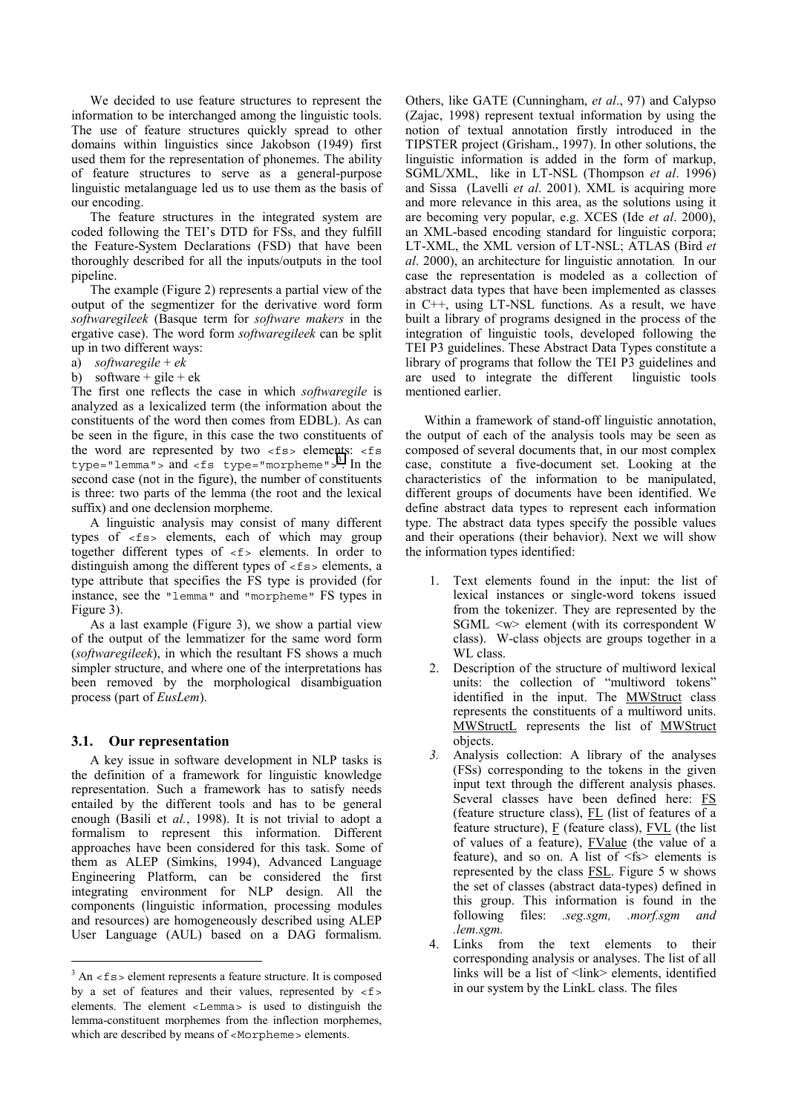We decided to use feature structures to represent the information to be interchanged among the linguistic tools. The use of feature structures quickly spread to other domains within linguistics since Jakobson (1949) first used them for the representation of phonemes. The ability of feature structures to serve as a general-purpose linguistic metalanguage led us to use them as the basis of our encoding.

The feature structures in the integrated system are coded following the TEI's DTD for FSs, and they fulfill the Feature-System Declarations (FSD) that have been thoroughly described for all the inputs/outputs in the tool pipeline.

The example (Figure 2) represents a partial view of the output of the segmentizer for the derivative word form *softwaregileek* (Basque term for *software makers* in the ergative case). The word form *softwaregileek* can be split up in two different ways:

```
a) softwaregile + ek
```
b) software + gile + ek

The first one reflects the case in which *softwaregile* is analyzed as a lexicalized term (the information about the constituents of the word then comes from EDBL). As can be seen in the figure, in this case the two constituents of the word are represented by two  $\lt$  fs> elements:  $\lt$  fs type="lemma"> and <fs type="morpheme">3. In the second case (not in the figure), the number of constituents is three: two parts of the lemma (the root and the lexical suffix) and one declension morpheme.

A linguistic analysis may consist of many different types of <fs> elements, each of which may group together different types of <f> elements. In order to distinguish among the different types of  $\langle$  f s> elements, a type attribute that specifies the FS type is provided (for instance, see the "lemma" and "morpheme" FS types in Figure 3).

As a last example (Figure 3), we show a partial view of the output of the lemmatizer for the same word form (*softwaregileek*), in which the resultant FS shows a much simpler structure, and where one of the interpretations has been removed by the morphological disambiguation process (part of *EusLem*).

### **3.1. Our representation**

 $\overline{a}$ 

A key issue in software development in NLP tasks is the definition of a framework for linguistic knowledge representation. Such a framework has to satisfy needs entailed by the different tools and has to be general enough (Basili et *al.*, 1998). It is not trivial to adopt a formalism to represent this information. Different approaches have been considered for this task. Some of them as ALEP (Simkins, 1994), Advanced Language Engineering Platform, can be considered the first integrating environment for NLP design. All the components (linguistic information, processing modules and resources) are homogeneously described using ALEP User Language (AUL) based on a DAG formalism.

Others, like GATE (Cunningham, *et al*., 97) and Calypso (Zajac, 1998) represent textual information by using the notion of textual annotation firstly introduced in the TIPSTER project (Grisham., 1997). In other solutions, the linguistic information is added in the form of markup, SGML/XML, like in LT-NSL (Thompson *et al*. 1996) and Sissa (Lavelli *et al*. 2001). XML is acquiring more and more relevance in this area, as the solutions using it are becoming very popular, e.g. XCES (Ide *et al*. 2000), an XML-based encoding standard for linguistic corpora; LT-XML, the XML version of LT-NSL; ATLAS (Bird *et al*. 2000), an architecture for linguistic annotation*.* In our case the representation is modeled as a collection of abstract data types that have been implemented as classes in C++, using LT-NSL functions. As a result, we have built a library of programs designed in the process of the integration of linguistic tools, developed following the TEI P3 guidelines. These Abstract Data Types constitute a library of programs that follow the TEI P3 guidelines and are used to integrate the different linguistic tools mentioned earlier.

Within a framework of stand-off linguistic annotation, the output of each of the analysis tools may be seen as composed of several documents that, in our most complex case, constitute a five-document set. Looking at the characteristics of the information to be manipulated, different groups of documents have been identified. We define abstract data types to represent each information type. The abstract data types specify the possible values and their operations (their behavior). Next we will show the information types identified:

- 1. Text elements found in the input: the list of lexical instances or single-word tokens issued from the tokenizer. They are represented by the SGML <w> element (with its correspondent W class). W-class objects are groups together in a WL class.
- 2. Description of the structure of multiword lexical units: the collection of "multiword tokens" identified in the input. The **MWStruct** class represents the constituents of a multiword units. MWStructL represents the list of MWStruct objects.
- *3.* Analysis collection: A library of the analyses (FSs) corresponding to the tokens in the given input text through the different analysis phases. Several classes have been defined here: FS (feature structure class),  $FL$  (list of features of a feature structure),  $\underline{F}$  (feature class),  $\underline{FVL}$  (the list of values of a feature), FValue (the value of a feature), and so on. A list of  $\leq$  fs> elements is represented by the class FSL. Figure 5 w shows the set of classes (abstract data-types) defined in this group. This information is found in the following files: *.seg.sgm, .morf.sgm and .lem.sgm.*
- 4. Links from the text elements to their corresponding analysis or analyses. The list of all links will be a list of <link> elements, identified in our system by the LinkL class. The files

 $3$  An <fs> element represents a feature structure. It is composed by a set of features and their values, represented by  $\langle$  f > elements. The element <Lemma> is used to distinguish the lemma-constituent morphemes from the inflection morphemes, which are described by means of <Morpheme> elements.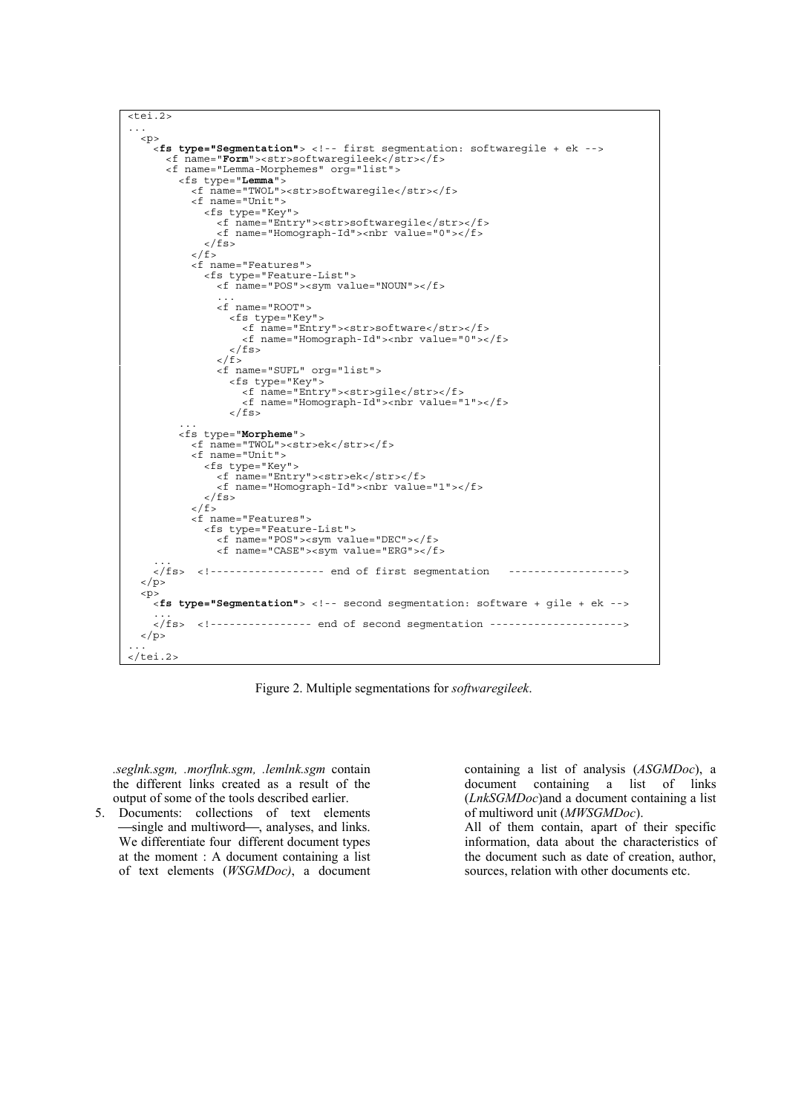```
<sub>etci.2></sub></sub>
  ...<p><fs type="Segmentation"> <!-- first segmentation: softwaregile + ek -->
      <f name="Form"><str>softwaregileek</str></f>
      <f name="Lemma-Morphemes" org="list">
         <fs type="Lemma">
           <f name="TWOL"><str>softwaregile</str></f>
           <f name="Unit">
             <fs type="Key">
               <f name="Entry"><str>softwaregile</str></f>
                <f name="Homograph-Id"><nbr value="0"></f>
             \langlefs>
           \langle / f ><f name="Features">
             <fs type="Feature-List">
                <f name="POS"><sym value="NOUN"></f>
                ...
                <f name="ROOT">
                  <fs type="Key">
<f name="Entry"><str>software</str></f>
                    <f name="Homograph-Id"><nbr value="0"></f>
                  \langle fs>
                \langle / f ><f name="SUFL" org="list">
                  <fs type="Key">
<f name="Entry"><str>gile</str></f>
                    <f name="Homograph-Id"><nbr value="1"></f>
                  \langle fs>
         <fs type="Morpheme">
           <f name="TWOL"><str>ek</str></f>
<f name="Unit">
             <fs type="Key">
               <f name="Entry"><str>ek</str></f>
                <f name="Homograph-Id"><nbr value="1"></f>
             \langlefs>
           \langle / f ><f name="Features">
             <fs type="Feature-List">
               <f name="POS"><sym value="DEC"></f>
               <f name="CASE"><sym value="ERG"></f>
    \frac{1}{5}.
           <!----------------- end of first segmentation ------------------>
  \langle/p>
  <p>
    <fs type="Segmentation"> <!-- second segmentation: software + gile + ek --> ...
    </fs> <!---------------- end of second segmentation --------------------->
  \langlen>
\langletei.2>
```
Figure 2. Multiple segmentations for *softwaregileek*.

*.seglnk.sgm, .morflnk.sgm, .lemlnk.sgm* contain the different links created as a result of the output of some of the tools described earlier.

5. Documents: collections of text elements -single and multiword-, analyses, and links. We differentiate four different document types at the moment : A document containing a list of text elements (*WSGMDoc)*, a document containing a list of analysis (*ASGMDoc*), a document containing a list of links (*LnkSGMDoc*)and a document containing a list of multiword unit (*MWSGMDoc*).

All of them contain, apart of their specific information, data about the characteristics of the document such as date of creation, author, sources, relation with other documents etc.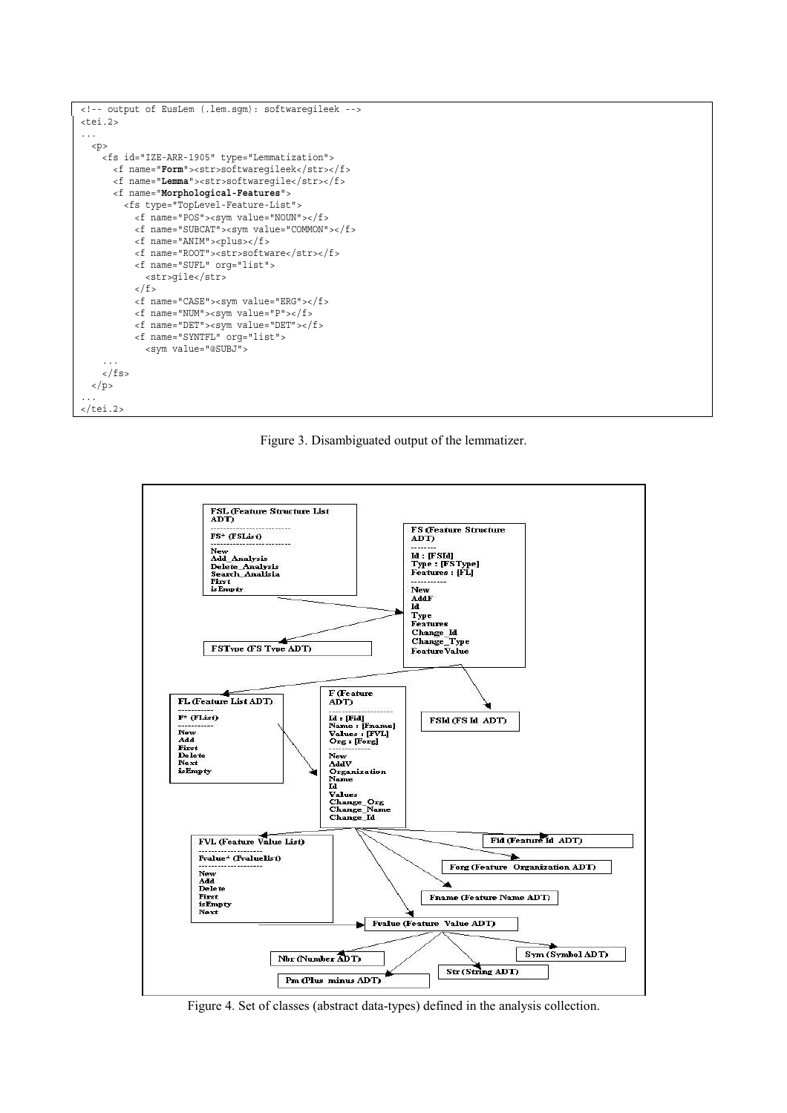

Figure 3. Disambiguated output of the lemmatizer.



Figure 4. Set of classes (abstract data-types) defined in the analysis collection.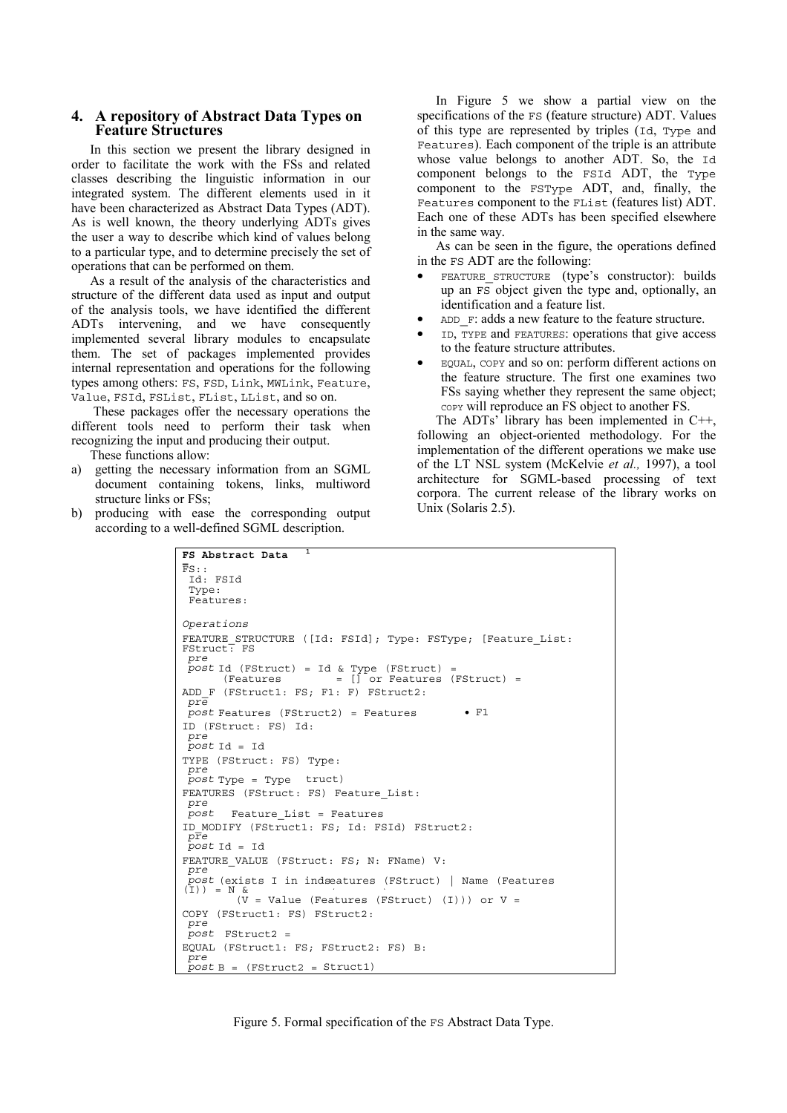### **4. A repository of Abstract Data Types on Feature Structures**

In this section we present the library designed in order to facilitate the work with the FSs and related classes describing the linguistic information in our integrated system. The different elements used in it have been characterized as Abstract Data Types (ADT). As is well known, the theory underlying ADTs gives the user a way to describe which kind of values belong to a particular type, and to determine precisely the set of operations that can be performed on them.

As a result of the analysis of the characteristics and structure of the different data used as input and output of the analysis tools, we have identified the different ADTs intervening, and we have consequently implemented several library modules to encapsulate them. The set of packages implemented provides internal representation and operations for the following types among others: FS, FSD, Link, MWLink, Feature, Value, FSId, FSList, FList, LList, and so on.

 These packages offer the necessary operations the different tools need to perform their task when recognizing the input and producing their output.

These functions allow:

- a) getting the necessary information from an SGML document containing tokens, links, multiword structure links or FSs;
- b) producing with ease the corresponding output according to a well-defined SGML description.

In Figure 5 we show a partial view on the specifications of the FS (feature structure) ADT. Values of this type are represented by triples (Id, Type and Features). Each component of the triple is an attribute whose value belongs to another ADT. So, the Id component belongs to the FSId ADT, the Type component to the FSType ADT, and, finally, the Features component to the FList (features list) ADT. Each one of these ADTs has been specified elsewhere in the same way.

As can be seen in the figure, the operations defined in the FS ADT are the following:

- FEATURE\_STRUCTURE (type's constructor): builds up an FS object given the type and, optionally, an identification and a feature list.
- ADD F: adds a new feature to the feature structure.
- ID, TYPE and FEATURES: operations that give access to the feature structure attributes.
- EQUAL, COPY and so on: perform different actions on the feature structure. The first one examines two FSs saying whether they represent the same object; COPY will reproduce an FS object to another FS.

The ADTs' library has been implemented in C++, following an object-oriented methodology. For the implementation of the different operations we make use of the LT NSL system (McKelvie *et al.,* 1997), a tool architecture for SGML-based processing of text corpora. The current release of the library works on Unix (Solaris 2.5).

```
FS Abstract Data
T
FS::
Id: FSId
                      1
 Type:
 Features:
Operations
FEATURE STRUCTURE ([Id: FSId]; Type: FSType; [Feature List:
FStruct: FS
 pre
 post Id (FStruct) = Id & Type (FStruct) =
(Features = [] or Features (FStruct) =
ADD F (FStruct1: FS; F1: F) FStruct2:
pre
post Features (FStruct2) = Features • F1
ID (FStruct: FS) Id:
pre
post Id = Id
TYPE (FStruct: FS) Type:
pre
 post Type = Type truct)
FEATURES (FStruct: FS) Feature List:
pre
 post Feature_List = Features
ID_MODIFY (FStruct1: FS; Id: FSId) FStruct2:
 pre
post Id = Id
FEATURE VALUE (FStruct: FS; N: FName) V:
post (exists I in indseatures (FStruct) | Name (Features (I)) = N & (V = Value (Features (FStruct) (I))) or V =
COPY (FStruct1: FS) FStruct2:
pre
 post FStruct2 =
EQUAL (FStruct1: FS; FStruct2: FS) B:<br>pre
 post B = (FStruct2 = Struct1)
```
Figure 5. Formal specification of the FS Abstract Data Type.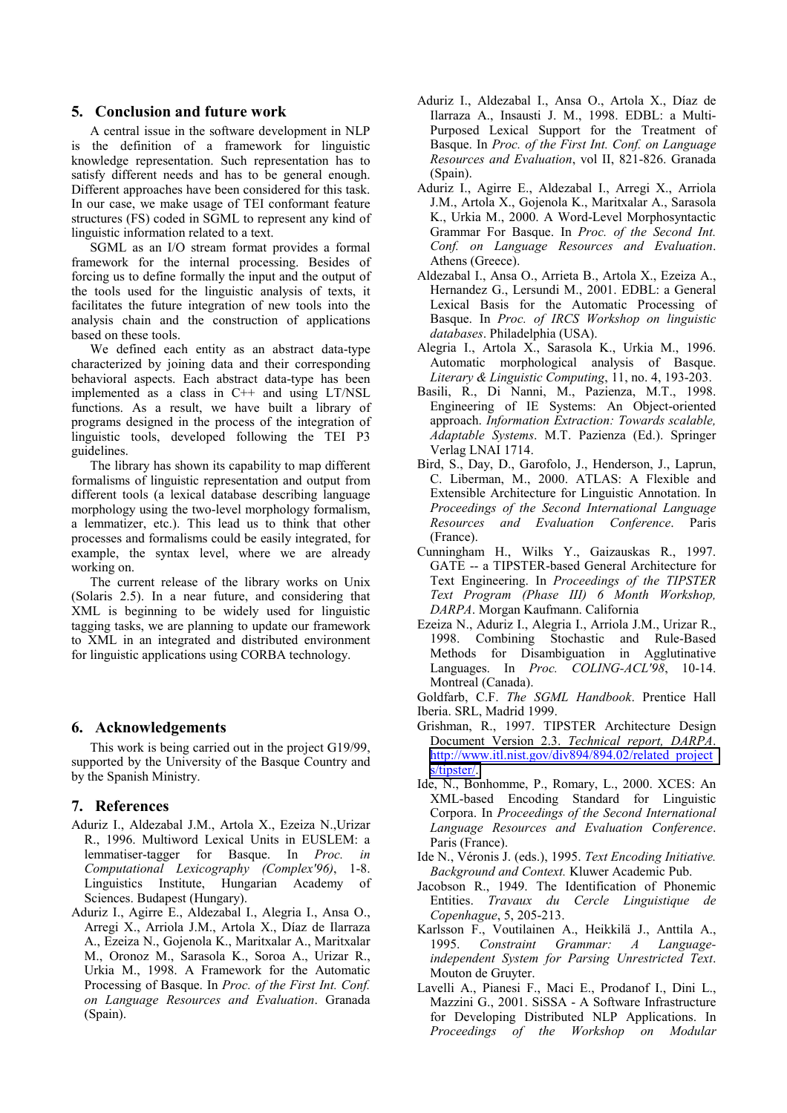### **5. Conclusion and future work**

A central issue in the software development in NLP is the definition of a framework for linguistic knowledge representation. Such representation has to satisfy different needs and has to be general enough. Different approaches have been considered for this task. In our case, we make usage of TEI conformant feature structures (FS) coded in SGML to represent any kind of linguistic information related to a text.

SGML as an I/O stream format provides a formal framework for the internal processing. Besides of forcing us to define formally the input and the output of the tools used for the linguistic analysis of texts, it facilitates the future integration of new tools into the analysis chain and the construction of applications based on these tools.

We defined each entity as an abstract data-type characterized by joining data and their corresponding behavioral aspects. Each abstract data-type has been implemented as a class in C++ and using LT/NSL functions. As a result, we have built a library of programs designed in the process of the integration of linguistic tools, developed following the TEI P3 guidelines.

The library has shown its capability to map different formalisms of linguistic representation and output from different tools (a lexical database describing language morphology using the two-level morphology formalism, a lemmatizer, etc.). This lead us to think that other processes and formalisms could be easily integrated, for example, the syntax level, where we are already working on.

The current release of the library works on Unix (Solaris 2.5). In a near future, and considering that XML is beginning to be widely used for linguistic tagging tasks, we are planning to update our framework to XML in an integrated and distributed environment for linguistic applications using CORBA technology.

### **6. Acknowledgements**

This work is being carried out in the project G19/99, supported by the University of the Basque Country and by the Spanish Ministry.

#### **7. References**

- Aduriz I., Aldezabal J.M., Artola X., Ezeiza N.,Urizar R., 1996. Multiword Lexical Units in EUSLEM: a lemmatiser-tagger for Basque. In *Proc. in Computational Lexicography (Complex'96)*, 1-8. Linguistics Institute, Hungarian Academy of Sciences. Budapest (Hungary).
- Aduriz I., Agirre E., Aldezabal I., Alegria I., Ansa O., Arregi X., Arriola J.M., Artola X., Díaz de Ilarraza A., Ezeiza N., Gojenola K., Maritxalar A., Maritxalar M., Oronoz M., Sarasola K., Soroa A., Urizar R., Urkia M., 1998. A Framework for the Automatic Processing of Basque. In *Proc. of the First Int. Conf. on Language Resources and Evaluation*. Granada (Spain).
- Aduriz I., Aldezabal I., Ansa O., Artola X., Díaz de Ilarraza A., Insausti J. M., 1998. EDBL: a Multi-Purposed Lexical Support for the Treatment of Basque. In *Proc. of the First Int. Conf. on Language Resources and Evaluation*, vol II, 821-826. Granada (Spain).
- Aduriz I., Agirre E., Aldezabal I., Arregi X., Arriola J.M., Artola X., Gojenola K., Maritxalar A., Sarasola K., Urkia M., 2000. A Word-Level Morphosyntactic Grammar For Basque. In *Proc. of the Second Int. Conf. on Language Resources and Evaluation*. Athens (Greece).
- Aldezabal I., Ansa O., Arrieta B., Artola X., Ezeiza A., Hernandez G., Lersundi M., 2001. EDBL: a General Lexical Basis for the Automatic Processing of Basque. In *Proc. of IRCS Workshop on linguistic databases*. Philadelphia (USA).
- Alegria I., Artola X., Sarasola K., Urkia M., 1996. Automatic morphological analysis of Basque. *Literary & Linguistic Computing*, 11, no. 4, 193-203.
- Basili, R., Di Nanni, M., Pazienza, M.T., 1998. Engineering of IE Systems: An Object-oriented approach. *Information Extraction: Towards scalable, Adaptable Systems*. M.T. Pazienza (Ed.). Springer Verlag LNAI 1714.
- Bird, S., Day, D., Garofolo, J., Henderson, J., Laprun, C. Liberman, M., 2000. ATLAS: A Flexible and Extensible Architecture for Linguistic Annotation. In *Proceedings of the Second International Language Resources and Evaluation Conference*. Paris (France).
- Cunningham H., Wilks Y., Gaizauskas R., 1997. GATE -- a TIPSTER-based General Architecture for Text Engineering. In *Proceedings of the TIPSTER Text Program (Phase III) 6 Month Workshop, DARPA*. Morgan Kaufmann. California
- Ezeiza N., Aduriz I., Alegria I., Arriola J.M., Urizar R., 1998. Combining Stochastic and Rule-Based Methods for Disambiguation in Agglutinative Languages. In *Proc. COLING-ACL'98*, 10-14. Montreal (Canada).

Goldfarb, C.F. *The SGML Handbook*. Prentice Hall Iberia. SRL, Madrid 1999.

- Grishman, R., 1997. TIPSTER Architecture Design Document Version 2.3. *Technical report, DARPA*. [http://www.itl.nist.gov/div894/894.02/related\\_project](http://www.itl.nist.gov/div894/894.02/related_projects/tipster/) [s/tipster/.](http://www.itl.nist.gov/div894/894.02/related_projects/tipster/)
- Ide, N., Bonhomme, P., Romary, L., 2000. XCES: An XML-based Encoding Standard for Linguistic Corpora. In *Proceedings of the Second International Language Resources and Evaluation Conference*. Paris (France).
- Ide N., Véronis J. (eds.), 1995. *Text Encoding Initiative. Background and Context.* Kluwer Academic Pub.
- Jacobson R., 1949. The Identification of Phonemic Entities. *Travaux du Cercle Linguistique de Copenhague*, 5, 205-213.
- Karlsson F., Voutilainen A., Heikkilä J., Anttila A., 1995. *Constraint Grammar: A Languageindependent System for Parsing Unrestricted Text*. Mouton de Gruyter.
- Lavelli A., Pianesi F., Maci E., Prodanof I., Dini L., Mazzini G., 2001. SiSSA - A Software Infrastructure for Developing Distributed NLP Applications. In *Proceedings of the Workshop on Modular*